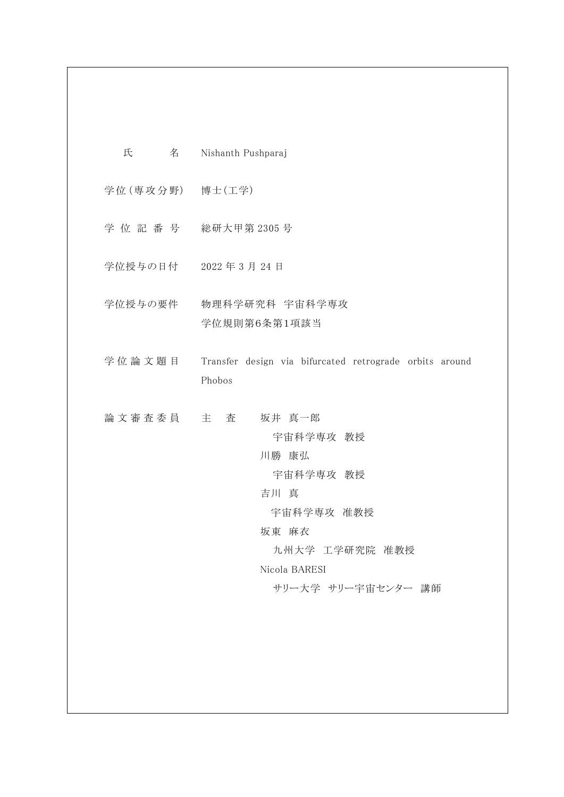| 氏               | 名 Nishanth Pushparaj                                                                                                              |
|-----------------|-----------------------------------------------------------------------------------------------------------------------------------|
| 学位(専攻分野) 博士(工学) |                                                                                                                                   |
|                 | 学位記番号 総研大甲第2305号                                                                                                                  |
|                 | 学位授与の日付 2022年3月24日                                                                                                                |
|                 | 学位授与の要件 物理科学研究科 宇宙科学専攻<br>学位規則第6条第1項該当                                                                                            |
| 学位論文題目          | Transfer design via bifurcated retrograde orbits around<br>Phobos                                                                 |
| 論文審査委員 主 査      | 坂井 真一郎<br>宇宙科学専攻 教授<br>川勝 康弘<br>宇宙科学専攻 教授<br>吉川 真<br>宇宙科学専攻 准教授<br>坂東 麻衣<br>九州大学 工学研究院 准教授<br>Nicola BARESI<br>サリー大学 サリー宇宙センター 講師 |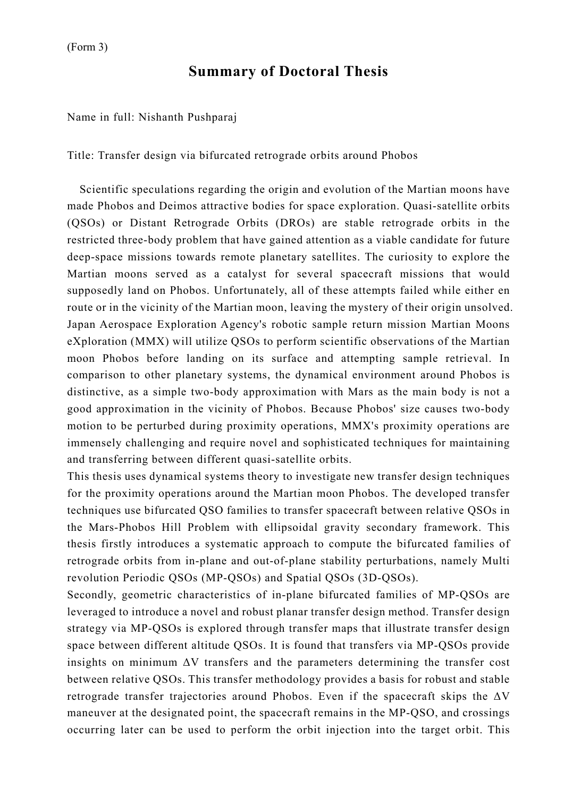## **Summary of Doctoral Thesis**

Name in full: Nishanth Pushparaj

Title: Transfer design via bifurcated retrograde orbits around Phobos

Scientific speculations regarding the origin and evolution of the Martian moons have made Phobos and Deimos attractive bodies for space exploration. Quasi-satellite orbits (QSOs) or Distant Retrograde Orbits (DROs) are stable retrograde orbits in the restricted three-body problem that have gained attention as a viable candidate for future deep-space missions towards remote planetary satellites. The curiosity to explore the Martian moons served as a catalyst for several spacecraft missions that would supposedly land on Phobos. Unfortunately, all of these attempts failed while either en route or in the vicinity of the Martian moon, leaving the mystery of their origin unsolved. Japan Aerospace Exploration Agency's robotic sample return mission Martian Moons eXploration (MMX) will utilize QSOs to perform scientific observations of the Martian moon Phobos before landing on its surface and attempting sample retrieval. In comparison to other planetary systems, the dynamical environment around Phobos is distinctive, as a simple two-body approximation with Mars as the main body is not a good approximation in the vicinity of Phobos. Because Phobos' size causes two-body motion to be perturbed during proximity operations, MMX's proximity operations are immensely challenging and require novel and sophisticated techniques for maintaining and transferring between different quasi-satellite orbits.

This thesis uses dynamical systems theory to investigate new transfer design techniques for the proximity operations around the Martian moon Phobos. The developed transfer techniques use bifurcated QSO families to transfer spacecraft between relative QSOs in the Mars-Phobos Hill Problem with ellipsoidal gravity secondary framework. This thesis firstly introduces a systematic approach to compute the bifurcated families of retrograde orbits from in-plane and out-of-plane stability perturbations, namely Multi revolution Periodic QSOs (MP-QSOs) and Spatial QSOs (3D-QSOs).

Secondly, geometric characteristics of in-plane bifurcated families of MP-QSOs are leveraged to introduce a novel and robust planar transfer design method. Transfer design strategy via MP-QSOs is explored through transfer maps that illustrate transfer design space between different altitude QSOs. It is found that transfers via MP-QSOs provide insights on minimum  $\Delta V$  transfers and the parameters determining the transfer cost between relative QSOs. This transfer methodology provides a basis for robust and stable retrograde transfer trajectories around Phobos. Even if the spacecraft skips the  $\Delta V$ maneuver at the designated point, the spacecraft remains in the MP-QSO, and crossings occurring later can be used to perform the orbit injection into the target orbit. This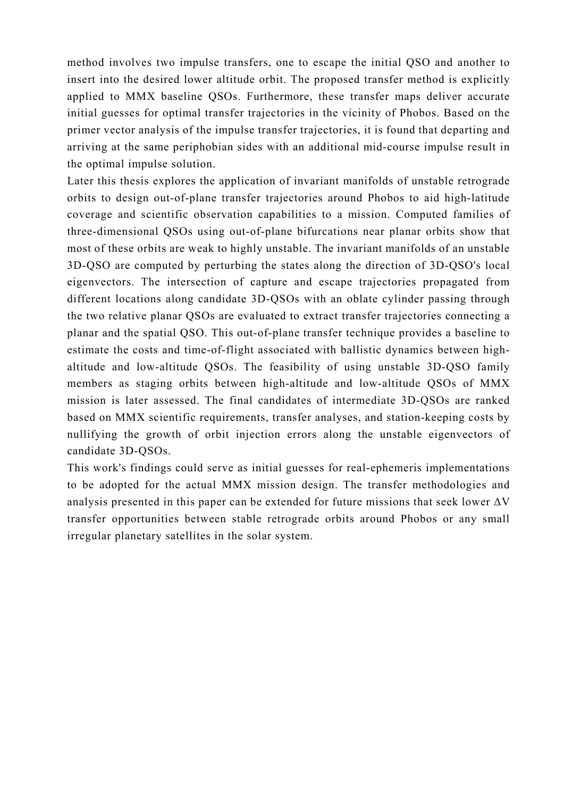method involves two impulse transfers, one to escape the initial QSO and another to insert into the desired lower altitude orbit. The proposed transfer method is explicitly applied to MMX baseline QSOs. Furthermore, these transfer maps deliver accurate initial guesses for optimal transfer trajectories in the vicinity of Phobos. Based on the primer vector analysis of the impulse transfer trajectories, it is found that departing and arriving at the same periphobian sides with an additional mid-course impulse result in the optimal impulse solution.

Later this thesis explores the application of invariant manifolds of unstable retrograde orbits to design out-of-plane transfer trajectories around Phobos to aid high-latitude coverage and scientific observation capabilities to a mission. Computed families of three-dimensional QSOs using out-of-plane bifurcations near planar orbits show that most of these orbits are weak to highly unstable. The invariant manifolds of an unstable 3D-QSO are computed by perturbing the states along the direction of 3D-QSO's local eigenvectors. The intersection of capture and escape trajectories propagated from different locations along candidate 3D-QSOs with an oblate cylinder passing through the two relative planar QSOs are evaluated to extract transfer trajectories connecting a planar and the spatial QSO. This out-of-plane transfer technique provides a baseline to estimate the costs and time-of-flight associated with ballistic dynamics between highaltitude and low-altitude QSOs. The feasibility of using unstable 3D-QSO family members as staging orbits between high-altitude and low-altitude QSOs of MMX mission is later assessed. The final candidates of intermediate 3D-QSOs are ranked based on MMX scientific requirements, transfer analyses, and station-keeping costs by nullifying the growth of orbit injection errors along the unstable eigenvectors of candidate 3D-QSOs.

This work's findings could serve as initial guesses for real-ephemeris implementations to be adopted for the actual MMX mission design. The transfer methodologies and analysis presented in this paper can be extended for future missions that seek lower  $\Delta V$ transfer opportunities between stable retrograde orbits around Phobos or any small irregular planetary satellites in the solar system.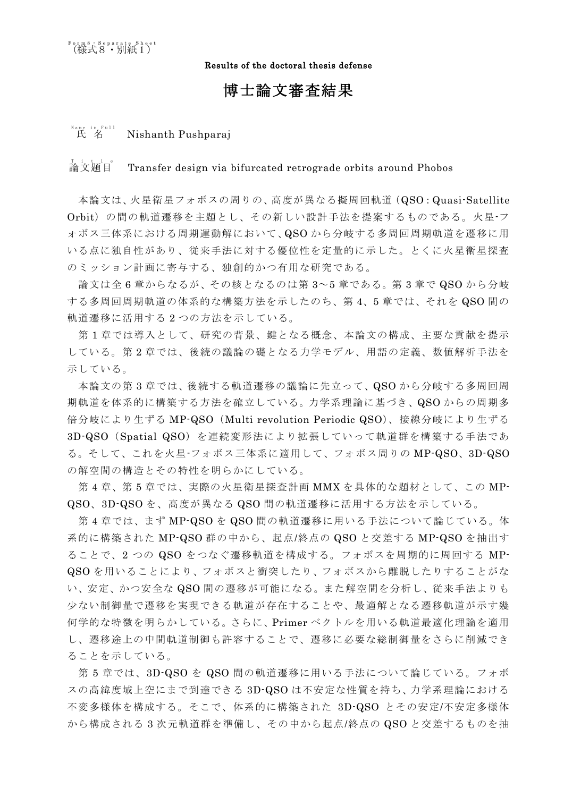Results of the doctoral thesis defense

## 博士論文審査結果

## <sup>Name</sup> in Full<br>氏 名 Nishanth Pushparaj

## ,<br>論文題目<sup>。</sup> Transfer design via bifurcated retrograde orbits around Phobos

本論文は、火星衛星フォボスの周りの、高度が異なる擬周回軌道(QSO:Quasi-Satellite Orbit)の間の軌道遷移を主題とし、その新しい設計手法を提案するものである。火星-フ ォボス三体系における周期運動解において、QSO から分岐する多周回周期軌道を遷移に用 いる点に独自性があり、従来手法に対する優位性を定量的に示した。とくに火星衛星探査 のミッション計画に寄与する、独創的かつ有用な研究である。

論文は全 6 章からなるが、その核となるのは第 3~5 章である。第 3 章で QSO から分岐 する多周回周期軌道の体系的な構築方法を示したのち、第 4、5 章では、それを QSO 間の 軌道遷移に活用する 2 つの方法を示している。

第 1 章では導入として、研究の背景、鍵となる概念、本論文の構成、主要な貢献を提示 している。第 2 章では、後続の議論の礎となる力学モデル、用語の定義、数値解析手法を 示している。

本論文の第 3 章では、後続する軌道遷移の議論に先立って、QSO から分岐する多周回周 期軌道を体系的に構築する方法を確立している。力学系理論に基づき、QSO からの周期多 倍分岐により生ずる MP-QSO(Multi revolution Periodic QSO)、接線分岐により生ずる 3D-QSO(Spatial QSO)を連続変形法により拡張していって軌道群を構築する手法であ る。そして、これを火星-フォボス三体系に適用して、フォボス周りの MP-QSO、3D-QSO の解空間の構造とその特性を明らかにしている。

第 4 章、第 5 章では、実際の火星衛星探査計画 MMX を具体的な題材として、この MP-QSO、3D-QSO を、高度が異なる QSO 間の軌道遷移に活用する方法を示している。

第 4 章では、まず MP-QSO を QSO 間の軌道遷移に用いる手法について論じている。体 系的に構築された MP-QSO 群の中から、起点/終点の QSO と交差する MP-QSO を抽出す ることで、2 つの QSO をつなぐ遷移軌道を構成する。フォボスを周期的に周回する MP-QSO を用いることにより、フォボスと衝突したり、フォボスから離脱したりすることがな い、安定、かつ安全な QSO 間の遷移が可能になる。また解空間を分析し、従来手法よりも 少ない制御量で遷移を実現できる軌道が存在することや、最適解となる遷移軌道が示す幾 何学的な特徴を明らかしている。さらに、Primer ベクトルを用いる軌道最適化理論を適用 し、遷移途上の中間軌道制御も許容することで、遷移に必要な総制御量をさらに削減でき ることを示している。

第 5 章では、3D-QSO を QSO 間の軌道遷移に用いる手法について論じている。フォボ スの高緯度域上空にまで到達できる 3D-QSO は不安定な性質を持ち、力学系理論における 不変多様体を構成する。そこで、体系的に構築された 3D-QSO とその安定/不安定多様体 から構成される 3 次元軌道群を準備し、その中から起点/終点の QSO と交差するものを抽